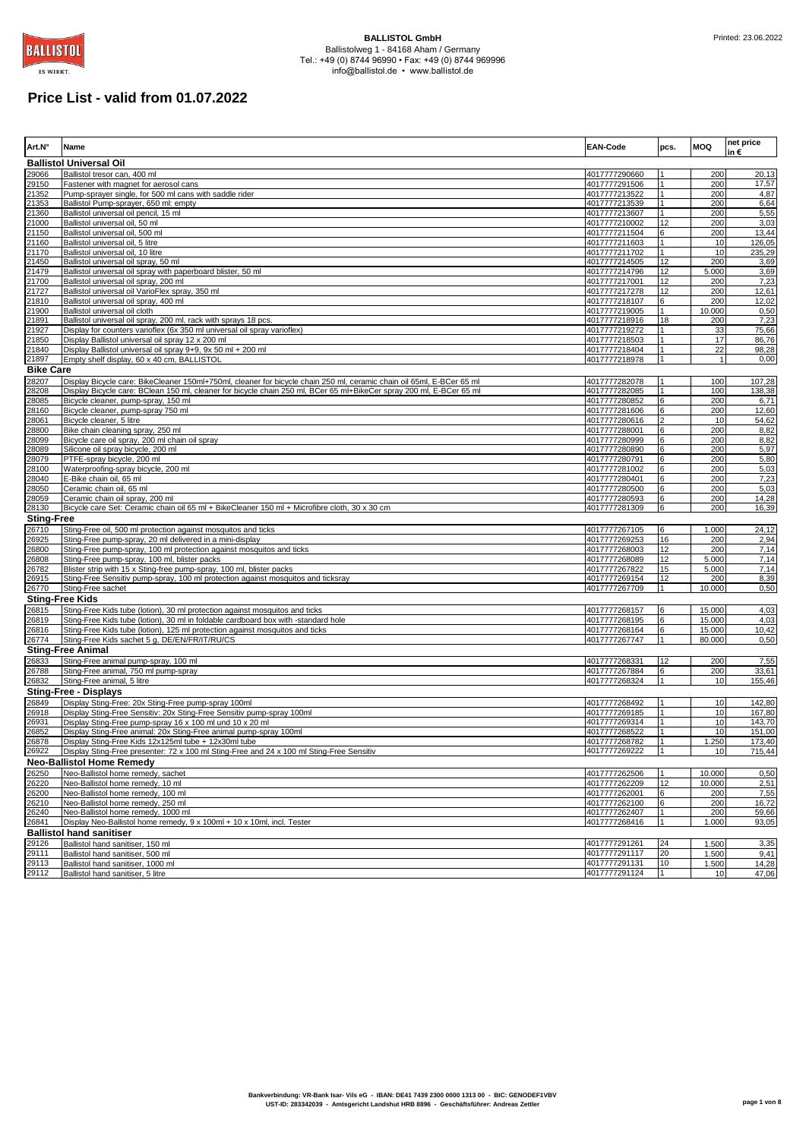

# **Price List - valid from 01.07.2022**

| Art.N°                     | Name                                                                                                                                                                                                                                          | <b>EAN-Code</b>                | pcs.         | <b>MOQ</b>      | net price<br>in€ |
|----------------------------|-----------------------------------------------------------------------------------------------------------------------------------------------------------------------------------------------------------------------------------------------|--------------------------------|--------------|-----------------|------------------|
|                            | <b>Ballistol Universal Oil</b>                                                                                                                                                                                                                |                                |              |                 |                  |
| 29066                      | Ballistol tresor can, 400 ml                                                                                                                                                                                                                  | 4017777290660                  |              | 200             | 20,13            |
| 29150                      | Fastener with magnet for aerosol cans                                                                                                                                                                                                         | 4017777291506<br>4017777213522 |              | 200             | 17,57            |
| 21352<br>21353             | Pump-sprayer single, for 500 ml cans with saddle rider<br>Ballistol Pump-sprayer, 650 ml: empty                                                                                                                                               | 4017777213539                  |              | 200<br>200      | 4,87<br>6,64     |
| 21360                      | Ballistol universal oil pencil, 15 ml                                                                                                                                                                                                         | 4017777213607                  |              | 200             | 5,55             |
| 21000                      | Ballistol universal oil, 50 ml                                                                                                                                                                                                                | 4017777210002                  | 12           | 200             | 3,03             |
| 21150                      | Ballistol universal oil, 500 ml                                                                                                                                                                                                               | 4017777211504                  | 6            | 200             | 13,44            |
| 21160                      | Ballistol universal oil, 5 litre                                                                                                                                                                                                              | 4017777211603                  |              | 10<br>10        | 126,05           |
| 21170<br>21450             | Ballistol universal oil, 10 litre<br>Ballistol universal oil spray, 50 ml                                                                                                                                                                     | 4017777211702<br>4017777214505 | 12           | 200             | 235,29<br>3,69   |
| 21479                      | Ballistol universal oil spray with paperboard blister, 50 ml                                                                                                                                                                                  | 4017777214796                  | 12           | 5.000           | 3,69             |
| 21700                      | Ballistol universal oil spray, 200 ml                                                                                                                                                                                                         | 4017777217001                  | 12           | 200             | 7,23             |
| 21727                      | Ballistol universal oil VarioFlex spray, 350 ml                                                                                                                                                                                               | 4017777217278                  | 12           | 200             | 12,61            |
| 21810                      | Ballistol universal oil spray, 400 ml                                                                                                                                                                                                         | 4017777218107                  | 6            | 200             | 12,02            |
| 21900<br>21891             | Ballistol universal oil cloth<br>Ballistol universal oil spray, 200 ml, rack with sprays 18 pcs.                                                                                                                                              | 4017777219005<br>4017777218916 | 18           | 10.000<br>200   | 0,50<br>7,23     |
| 21927                      | Display for counters varioflex (6x 350 ml universal oil spray varioflex)                                                                                                                                                                      | 4017777219272                  |              | 33              | 75,66            |
| 21850                      | Display Ballistol universal oil spray 12 x 200 ml                                                                                                                                                                                             | 4017777218503                  |              | 17              | 86,76            |
| 21840                      | Display Ballistol universal oil spray 9+9, 9x 50 ml + 200 ml                                                                                                                                                                                  | 4017777218404                  |              | 22              | 98,28            |
| 21897                      | Empty shelf display, 60 x 40 cm, BALLISTOL                                                                                                                                                                                                    | 4017777218978                  |              | $\overline{1}$  | 0,00             |
| <b>Bike Care</b>           |                                                                                                                                                                                                                                               |                                |              |                 |                  |
| 28207<br>28208             | Display Bicycle care: BikeCleaner 150ml+750ml, cleaner for bicycle chain 250 ml, ceramic chain oil 65ml, E-BCer 65 ml<br>Display Bicycle care: BClean 150 ml, cleaner for bicycle chain 250 ml, BCer 65 ml+BikeCer spray 200 ml, E-BCer 65 ml | 4017777282078<br>4017777282085 |              | 100<br>100      | 107,28<br>138,38 |
| 28085                      | Bicycle cleaner, pump-spray, 150 ml                                                                                                                                                                                                           | 4017777280852                  | 6            | 200             | 6,71             |
| 28160                      | Bicycle cleaner, pump-spray 750 ml                                                                                                                                                                                                            | 4017777281606                  | 6            | 200             | 12,60            |
| 28061                      | Bicycle cleaner, 5 litre                                                                                                                                                                                                                      | 4017777280616                  |              | 10              | 54,62            |
| 28800                      | Bike chain cleaning spray, 250 ml                                                                                                                                                                                                             | 4017777288001                  | 6            | 200             | 8,82             |
| 28099                      | Bicycle care oil spray, 200 ml chain oil spray                                                                                                                                                                                                | 4017777280999                  | 6            | 200<br>200      | 8,82<br>5,97     |
| 28089<br>28079             | Silicone oil spray bicycle, 200 ml<br>PTFE-spray bicycle, 200 ml                                                                                                                                                                              | 4017777280890<br>4017777280791 | 6<br>6       | 200             | 5,80             |
| 28100                      | Waterproofing-spray bicycle, 200 ml                                                                                                                                                                                                           | 4017777281002                  | 6            | 200             | 5,03             |
| 28040                      | E-Bike chain oil, 65 ml                                                                                                                                                                                                                       | 4017777280401                  | 6            | 200             | 7,23             |
| 28050                      | Ceramic chain oil, 65 ml                                                                                                                                                                                                                      | 4017777280500                  | 6            | 200             | 5,03             |
| 28059                      | Ceramic chain oil spray, 200 ml                                                                                                                                                                                                               | 4017777280593                  | 6            | 200             | 14,28            |
| 28130<br><b>Sting-Free</b> | Bicycle care Set: Ceramic chain oil 65 ml + BikeCleaner 150 ml + Microfibre cloth, 30 x 30 cm                                                                                                                                                 | 4017777281309                  | 6            | 200             | 16,39            |
| 26710                      | Sting-Free oil, 500 ml protection against mosquitos and ticks                                                                                                                                                                                 | 4017777267105                  | 6            | 1.000           | 24,12            |
| 26925                      | Sting-Free pump-spray, 20 ml delivered in a mini-display                                                                                                                                                                                      | 4017777269253                  | 16           | 200             | 2,94             |
| 26800                      | Sting-Free pump-spray, 100 ml protection against mosquitos and ticks                                                                                                                                                                          | 4017777268003                  | 12           | 200             | 7,14             |
| 26808                      | Sting-Free pump-spray, 100 ml, blister packs                                                                                                                                                                                                  | 4017777268089                  | 12           | 5.000           | 7,14             |
| 26782                      | Blister strip with 15 x Sting-free pump-spray, 100 ml, blister packs                                                                                                                                                                          | 4017777267822                  | 15<br>12     | 5.000           | 7,14             |
| 26915<br>26770             | Sting-Free Sensitiv pump-spray, 100 ml protection against mosquitos and ticksray<br>Sting-Free sachet                                                                                                                                         | 4017777269154<br>4017777267709 |              | 200<br>10.000   | 8,39<br>0,50     |
|                            | <b>Sting-Free Kids</b>                                                                                                                                                                                                                        |                                |              |                 |                  |
| 26815                      | Sting-Free Kids tube (lotion), 30 ml protection against mosquitos and ticks                                                                                                                                                                   | 4017777268157                  | 6            | 15.000          | 4,03             |
| 26819                      | Sting-Free Kids tube (lotion), 30 ml in foldable cardboard box with -standard hole                                                                                                                                                            | 4017777268195                  | 6            | 15.000          | 4,03             |
| 26816                      | Sting-Free Kids tube (lotion), 125 ml protection against mosquitos and ticks                                                                                                                                                                  | 4017777268164                  | 6            | 15.000          | 10,42            |
| 26774                      | Sting-Free Kids sachet 5 g, DE/EN/FR/IT/RU/CS                                                                                                                                                                                                 | 4017777267747                  | $\mathbf{1}$ | 80.000          | 0,50             |
|                            | <b>Sting-Free Animal</b>                                                                                                                                                                                                                      |                                |              |                 |                  |
| 26833<br>26788             | Sting-Free animal pump-spray, 100 ml<br>Sting-Free animal, 750 ml pump-spray                                                                                                                                                                  | 4017777268331<br>4017777267884 | 12<br>6      | 200<br>200      | 7,55<br>33,61    |
| 26832                      | Sting-Free animal, 5 litre                                                                                                                                                                                                                    | 4017777268324                  |              | 10              | 155,46           |
|                            | <b>Sting-Free - Displays</b>                                                                                                                                                                                                                  |                                |              |                 |                  |
| 26849                      | Display Sting-Free: 20x Sting-Free pump-spray 100ml                                                                                                                                                                                           | 4017777268492                  |              | 10              | 142,80           |
| 26918                      | Display Sting-Free Sensitiv: 20x Sting-Free Sensitiv pump-spray 100ml                                                                                                                                                                         | 4017777269185                  |              | 10              | 167,80           |
| 26931                      | Display Sting-Free pump-spray 16 x 100 ml und 10 x 20 ml                                                                                                                                                                                      | 4017777269314                  |              | 10              | 143,70           |
| 26852                      | Display Sting-Free animal: 20x Sting-Free animal pump-spray 100ml                                                                                                                                                                             | 4017777268522                  |              | 10              | 151,00           |
| 26878<br>26922             | Display Sting-Free Kids 12x125ml tube + 12x30ml tube<br>Display Sting-Free presenter: 72 x 100 ml Sting-Free and 24 x 100 ml Sting-Free Sensitiv                                                                                              | 4017777268782<br>4017777269222 |              | 1.250<br>10     | 173.40           |
|                            | <b>Neo-Ballistol Home Remedy</b>                                                                                                                                                                                                              |                                |              |                 | 715,44           |
| 26250                      | Neo-Ballistol home remedy, sachet                                                                                                                                                                                                             | 4017777262506                  | 1            | 10.000          | 0,50             |
| 26220                      | Neo-Ballistol home remedy, 10 ml                                                                                                                                                                                                              | 4017777262209                  | 12           | 10.000          | 2,51             |
| 26200                      | Neo-Ballistol home remedy, 100 ml                                                                                                                                                                                                             | 4017777262001                  | 6            | 200             | 7,55             |
| 26210                      | Neo-Ballistol home remedy, 250 ml                                                                                                                                                                                                             | 4017777262100                  | 6            | 200             | 16,72            |
| 26240                      | Neo-Ballistol home remedy, 1000 ml                                                                                                                                                                                                            | 4017777262407                  |              | 200             | 59,66            |
| 26841                      | Display Neo-Ballistol home remedy, 9 x 100ml + 10 x 10ml, incl. Tester<br><b>Ballistol hand sanitiser</b>                                                                                                                                     | 4017777268416                  | 1            | 1.000           | 93,05            |
| 29126                      | Ballistol hand sanitiser, 150 ml                                                                                                                                                                                                              | 4017777291261                  | 24           | 1.500           | 3,35             |
| 29111                      | Ballistol hand sanitiser, 500 ml                                                                                                                                                                                                              | 4017777291117                  | 20           | 1.500           | 9,41             |
| 29113                      | Ballistol hand sanitiser. 1000 ml                                                                                                                                                                                                             | 4017777291131                  | 10           | 1.500           | 14,28            |
| 29112                      | Ballistol hand sanitiser, 5 litre                                                                                                                                                                                                             | 4017777291124                  |              | 10 <sup>1</sup> | 47,06            |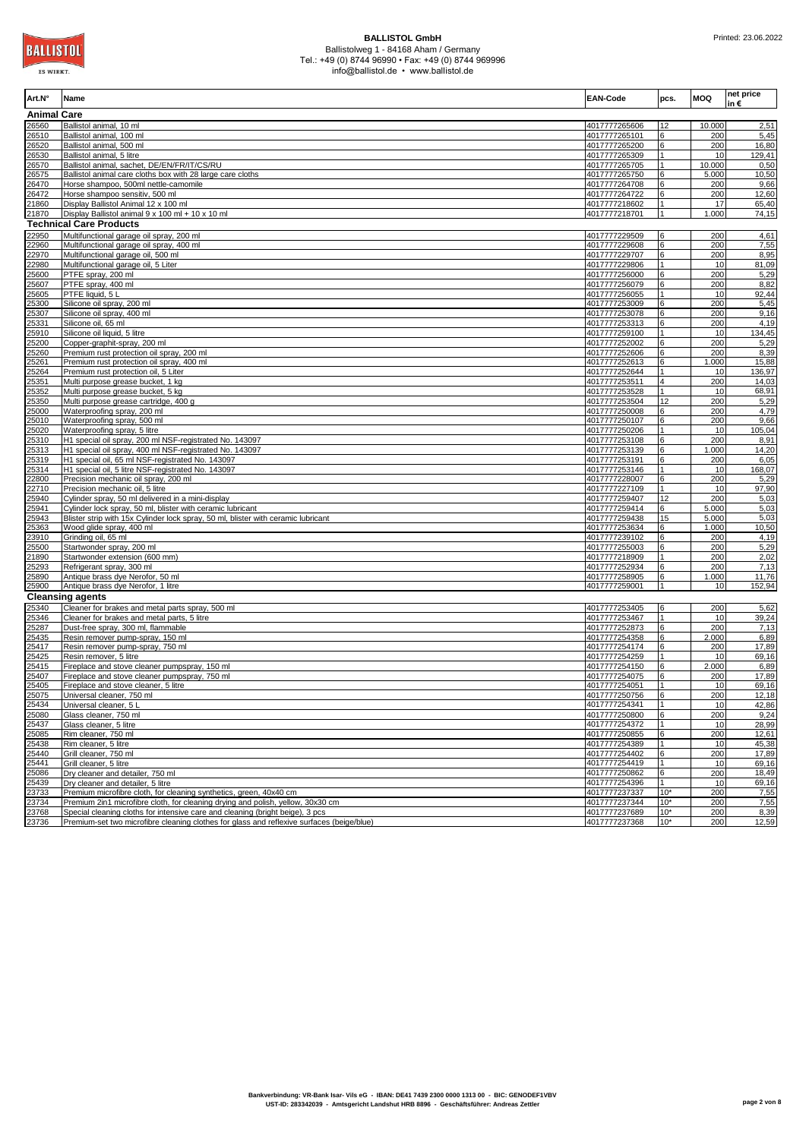

| Art.N°             | Name                                                                                                                                            | <b>EAN-Code</b>                | pcs.         | <b>MOQ</b>     | net price<br>in€ |
|--------------------|-------------------------------------------------------------------------------------------------------------------------------------------------|--------------------------------|--------------|----------------|------------------|
| <b>Animal Care</b> |                                                                                                                                                 |                                |              |                |                  |
| 26560              | Ballistol animal, 10 ml                                                                                                                         | 4017777265606                  | 12           | 10.000         | 2,51             |
| 26510              | Ballistol animal, 100 ml                                                                                                                        | 4017777265101                  | 6            | 200            | 5,45             |
| 26520              | Ballistol animal, 500 ml                                                                                                                        | 4017777265200                  | 6            | 200<br>10      | 16,80            |
| 26530<br>26570     | Ballistol animal, 5 litre<br>Ballistol animal, sachet, DE/EN/FR/IT/CS/RU                                                                        | 4017777265309<br>4017777265705 |              | 10.000         | 129,41<br>0,50   |
| 26575              | Ballistol animal care cloths box with 28 large care cloths                                                                                      | 4017777265750                  | 6            | 5.000          | 10,50            |
| 26470              | Horse shampoo, 500ml nettle-camomile                                                                                                            | 4017777264708                  | 6            | 200            | 9,66             |
| 26472              | Horse shampoo sensitiv, 500 ml                                                                                                                  | 4017777264722                  | 6            | 200            | 12,60            |
| 21860              | Display Ballistol Animal 12 x 100 ml                                                                                                            | 4017777218602                  |              | 17             | 65,40            |
| 21870              | Display Ballistol animal 9 x 100 ml + 10 x 10 ml                                                                                                | 4017777218701                  | $\mathbf{1}$ | 1.000          | 74,15            |
|                    | <b>Technical Care Products</b>                                                                                                                  |                                |              |                |                  |
| 22950              | Multifunctional garage oil spray, 200 ml                                                                                                        | 4017777229509                  | 6            | 200            | 4,61             |
| 22960              | Multifunctional garage oil spray, 400 ml                                                                                                        | 4017777229608                  | 6            | 200            | 7,55             |
| 22970              | Multifunctional garage oil, 500 ml                                                                                                              | 4017777229707                  |              | 200            | 8,95             |
| 22980<br>25600     | Multifunctional garage oil, 5 Liter<br>PTFE spray, 200 ml                                                                                       | 4017777229806<br>4017777256000 | 6            | 10<br>200      | 81,09<br>5,29    |
| 25607              | PTFE spray, 400 ml                                                                                                                              | 4017777256079                  | 6            | 200            | 8,82             |
| 25605              | PTFE liquid, 5 L                                                                                                                                | 4017777256055                  |              | 10             | 92,44            |
| 25300              | Silicone oil spray, 200 ml                                                                                                                      | 4017777253009                  |              | 200            | 5,45             |
| 25307              | Silicone oil spray, 400 ml                                                                                                                      | 4017777253078                  |              | 200            | 9,16             |
| 25331              | Silicone oil, 65 ml                                                                                                                             | 4017777253313                  | 6            | 200            | 4,19             |
| 25910              | Silicone oil liquid, 5 litre                                                                                                                    | 4017777259100                  |              | 10             | 134,45           |
| 25200              | Copper-graphit-spray, 200 ml                                                                                                                    | 4017777252002                  |              | 200            | 5,29             |
| 25260              | Premium rust protection oil spray, 200 ml                                                                                                       | 4017777252606                  |              | 200            | 8,39             |
| 25261              | Premium rust protection oil spray, 400 ml                                                                                                       | 4017777252613                  |              | 1.000          | 15,88            |
| 25264              | Premium rust protection oil, 5 Liter                                                                                                            | 4017777252644                  |              | 10             | 136,97           |
| 25351              | Multi purpose grease bucket, 1 kg                                                                                                               | 4017777253511                  |              | 200            | 14,03            |
| 25352              | Multi purpose grease bucket, 5 kg                                                                                                               | 4017777253528                  |              | 10<br>200      | 68,91            |
| 25350<br>25000     | Multi purpose grease cartridge, 400 g<br>Waterproofing spray, 200 ml                                                                            | 4017777253504<br>4017777250008 | 12           | 200            | 5,29<br>4,79     |
| 25010              | Waterproofing spray, 500 ml                                                                                                                     | 4017777250107                  | 6            | 200            | 9,66             |
| 25020              | Waterproofing spray, 5 litre                                                                                                                    | 4017777250206                  |              | 10             | 105,04           |
| 25310              | H1 special oil spray, 200 ml NSF-registrated No. 143097                                                                                         | 4017777253108                  |              | 200            | 8,91             |
| 25313              | H1 special oil spray, 400 ml NSF-registrated No. 143097                                                                                         | 4017777253139                  |              | 1.000          | 14,20            |
| 25319              | H1 special oil, 65 ml NSF-registrated No. 143097                                                                                                | 4017777253191                  |              | 200            | 6,05             |
| 25314              | H1 special oil, 5 litre NSF-registrated No. 143097                                                                                              | 4017777253146                  |              | 10             | 168,07           |
| 22800              | Precision mechanic oil spray, 200 ml                                                                                                            | 4017777228007                  |              | 200            | 5,29             |
| 22710              | Precision mechanic oil, 5 litre                                                                                                                 | 4017777227109                  |              | 10             | 97,90            |
| 25940              | Cylinder spray, 50 ml delivered in a mini-display                                                                                               | 4017777259407                  | 12           | 200            | 5,03             |
| 25941<br>25943     | Cylinder lock spray, 50 ml, blister with ceramic lubricant<br>Blister strip with 15x Cylinder lock spray, 50 ml, blister with ceramic lubricant | 4017777259414<br>4017777259438 | 15           | 5.000<br>5.000 | 5,03<br>5,03     |
| 25363              | Wood glide spray, 400 ml                                                                                                                        | 4017777253634                  | 6            | 1.000          | 10,50            |
| 23910              | Grinding oil, 65 ml                                                                                                                             | 4017777239102                  | 6            | 200            | 4,19             |
| 25500              | Startwonder spray, 200 ml                                                                                                                       | 4017777255003                  |              | 200            | 5,29             |
| 21890              | Startwonder extension (600 mm)                                                                                                                  | 4017777218909                  |              | 200            | 2,02             |
| 25293              | Refrigerant spray, 300 ml                                                                                                                       | 4017777252934                  | 6            | 200            | 7,13             |
| 25890              | Antique brass dye Nerofor, 50 ml                                                                                                                | 4017777258905                  | 6            | 1.000          | 11,76            |
| 25900              | Antique brass dye Nerofor, 1 litre                                                                                                              | 4017777259001                  | 1            | 10             | 152,94           |
|                    | <b>Cleansing agents</b>                                                                                                                         |                                |              |                |                  |
| 25340              | Cleaner for brakes and metal parts spray, 500 ml                                                                                                | 4017777253405                  | 6            | 200            | 5,62             |
| 25346              | Cleaner for brakes and metal parts, 5 litre                                                                                                     | 4017777253467                  |              | 10             | 39,24            |
| 25287              | Dust-free spray, 300 ml, flammable                                                                                                              | 4017777252873                  | 6            | 200            | 7,13             |
| 25435<br>25417     | Resin remover pump-spray, 150 ml<br>Resin remover pump-spray, 750 ml                                                                            | 4017777254358<br>4017777254174 | 6            | 2.000<br>200   | 6,89<br>17,89    |
| 25425              | Resin remover, 5 litre                                                                                                                          | 4017777254259                  |              | 10             | 69,16            |
| 25415              | Fireplace and stove cleaner pumpspray, 150 ml                                                                                                   | 4017777254150                  |              | 2.000          | 6,89             |
| 25407              | Fireplace and stove cleaner pumpspray, 750 ml                                                                                                   | 4017777254075                  | 6            | 200            | 17,89            |
| 25405              | Fireplace and stove cleaner, 5 litre                                                                                                            | 4017777254051                  | 1            | 10             | 69,16            |
| 25075              | Universal cleaner, 750 ml                                                                                                                       | 4017777250756                  |              | 200            | 12,18            |
| 25434              | Universal cleaner, 5 L                                                                                                                          | 4017777254341                  |              | 10             | 42,86            |
| 25080              | Glass cleaner, 750 ml                                                                                                                           | 4017777250800                  | 6            | 200            | 9,24             |
| 25437              | Glass cleaner, 5 litre                                                                                                                          | 4017777254372                  |              | 10             | 28,99            |
| 25085<br>25438     | Rim cleaner, 750 ml<br>Rim cleaner, 5 litre                                                                                                     | 4017777250855<br>4017777254389 | 6            | 200            | 12,61            |
| 25440              | Grill cleaner, 750 ml                                                                                                                           | 4017777254402                  |              | 10<br>200      | 45,38<br>17,89   |
| 25441              | Grill cleaner, 5 litre                                                                                                                          | 4017777254419                  |              | 10             | 69,16            |
| 25086              | Dry cleaner and detailer, 750 ml                                                                                                                | 4017777250862                  | 6            | 200            | 18,49            |
| 25439              | Dry cleaner and detailer, 5 litre                                                                                                               | 4017777254396                  |              | 10             | 69,16            |
| 23733              | Premium microfibre cloth, for cleaning synthetics, green, 40x40 cm                                                                              | 4017777237337                  | $10*$        | 200            | 7,55             |
| 23734              | Premium 2in1 microfibre cloth, for cleaning drying and polish, yellow, 30x30 cm                                                                 | 4017777237344                  | $10*$        | 200            | 7,55             |
| 23768              | Special cleaning cloths for intensive care and cleaning (bright beige), 3 pcs                                                                   | 4017777237689                  | $10*$        | 200            | 8,39             |
| 23736              | Premium-set two microfibre cleaning clothes for glass and reflexive surfaces (beige/blue)                                                       | 4017777237368                  | $10*$        | 200            | 12,59            |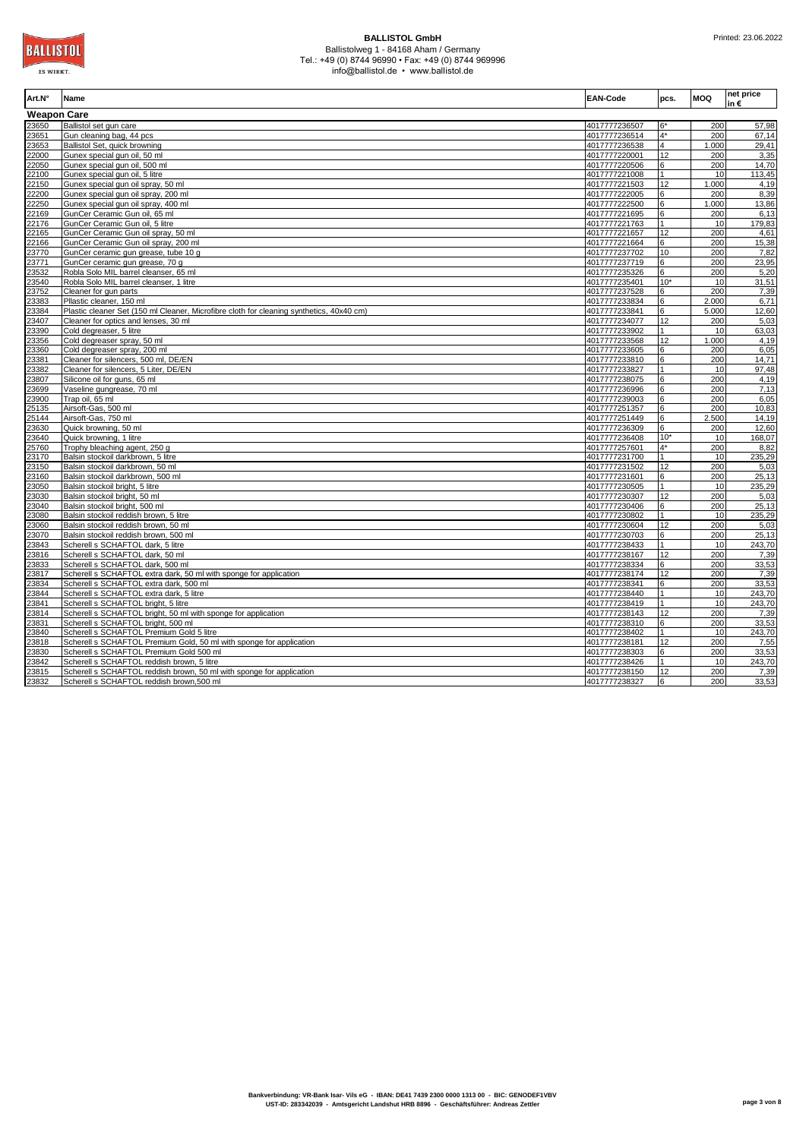| Art.N°             | Name                                                                                     | EAN-Code      | pcs.           | <b>MOQ</b> | net price<br>in € |
|--------------------|------------------------------------------------------------------------------------------|---------------|----------------|------------|-------------------|
| <b>Weapon Care</b> |                                                                                          |               |                |            |                   |
| 23650              | Ballistol set qun care                                                                   | 4017777236507 |                | 200        | 57,98             |
| 23651              | Gun cleaning bag, 44 pcs                                                                 | 4017777236514 | $4*$           | 200        | 67,14             |
| 23653              | Ballistol Set, quick browning                                                            | 4017777236538 | $\overline{4}$ | 1.000      | 29,41             |
| 22000              | Gunex special gun oil, 50 ml                                                             | 4017777220001 | 12             | 200        | 3,35              |
| 22050              | Gunex special gun oil, 500 ml                                                            | 4017777220506 | 6              | 200        | 14,70             |
| 22100              | Gunex special gun oil, 5 litre                                                           | 4017777221008 |                | 10         | 113,45            |
| 22150              | Gunex special gun oil spray, 50 ml                                                       | 4017777221503 | 12             | 1.000      | 4,19              |
| 22200              | Gunex special qun oil spray, 200 ml                                                      | 4017777222005 | 6              | 200        | 8,39              |
| 22250              | Gunex special gun oil spray, 400 ml                                                      | 4017777222500 |                | 1.000      | 13,86             |
| 22169              | GunCer Ceramic Gun oil, 65 ml                                                            | 4017777221695 | 6              | 200        | 6,13              |
| 22176              | GunCer Ceramic Gun oil, 5 litre                                                          | 4017777221763 |                | 10         | 179,83            |
| 22165              | GunCer Ceramic Gun oil spray, 50 ml                                                      | 4017777221657 | 12             | 200        | 4,61              |
| 22166              | GunCer Ceramic Gun oil spray, 200 ml                                                     | 4017777221664 | 6              | 200        | 15,38             |
| 23770              | GunCer ceramic gun grease, tube 10 g                                                     | 4017777237702 | 10             | 200        | 7,82              |
| 23771              | GunCer ceramic gun grease, 70 g                                                          | 4017777237719 | 6              | 200        | 23,95             |
| 23532              | Robla Solo MIL barrel cleanser, 65 ml                                                    | 4017777235326 | 6              | 200        | 5,20              |
| 23540              | Robla Solo MIL barrel cleanser, 1 litre                                                  | 4017777235401 | $10*$          | 10         | 31,51             |
| 23752              | Cleaner for gun parts                                                                    | 4017777237528 | 6              | 200        | 7,39              |
| 23383              | Pllastic cleaner, 150 ml                                                                 | 4017777233834 | 6              | 2.000      | 6,71              |
| 23384              | Plastic cleaner Set (150 ml Cleaner, Microfibre cloth for cleaning synthetics, 40x40 cm) | 4017777233841 | 6              | 5.000      | 12,60             |
| 23407              | Cleaner for optics and lenses, 30 ml                                                     | 4017777234077 | 12             | 200        | 5,03              |
| 23390              | Cold degreaser, 5 litre                                                                  | 4017777233902 |                | 10         | 63,03             |
| 23356              | Cold degreaser spray, 50 ml                                                              | 4017777233568 | 12             | 1.000      | 4,19              |
| 23360              | Cold degreaser spray, 200 ml                                                             | 4017777233605 | 6              | 200        | 6,05              |
| 23381              | Cleaner for silencers, 500 ml, DE/EN                                                     | 4017777233810 | 6              | 200        | 14,71             |
| 23382              | Cleaner for silencers, 5 Liter, DE/EN                                                    | 4017777233827 |                | 10         | 97,48             |
| 23807              | Silicone oil for guns, 65 ml                                                             | 4017777238075 |                | 200        | 4,19              |
| 23699              | Vaseline gungrease, 70 ml                                                                | 4017777236996 | 6              | 200        | 7,13              |
| 23900              | Trap oil, 65 ml                                                                          | 4017777239003 |                | 200        | 6,05              |
| 25135              | Airsoft-Gas, 500 ml                                                                      | 4017777251357 | 6              | 200        | 10,83             |
| 25144              | Airsoft-Gas, 750 ml                                                                      | 4017777251449 | 6              | 2.500      | 14,19             |
| 23630              | Quick browning, 50 ml                                                                    | 4017777236309 | 6              | 200        | 12,60             |
| 23640              | Quick browning, 1 litre                                                                  | 4017777236408 | $10*$          | 10         | 168,07            |
| 25760              | Trophy bleaching agent, 250 g                                                            | 4017777257601 | $4*$           | 200        | 8,82              |
| 23170              | Balsin stockoil darkbrown, 5 litre                                                       | 4017777231700 |                | 10         | 235,29            |
| 23150              | Balsin stockoil darkbrown, 50 ml                                                         | 4017777231502 | 12             | 200        | 5,03              |
| 23160              | Balsin stockoil darkbrown, 500 ml                                                        | 4017777231601 | 6              | 200        | 25,13             |
| 23050              | Balsin stockoil bright, 5 litre                                                          | 4017777230505 |                | 10         | 235,29            |
| 23030              | Balsin stockoil bright, 50 ml                                                            | 4017777230307 | 12             | 200        | 5,03              |
| 23040              | Balsin stockoil bright, 500 ml                                                           | 4017777230406 | ĥ              | 200        | 25,13             |
| 23080              | Balsin stockoil reddish brown, 5 litre                                                   | 4017777230802 |                | 10         | 235,29            |
| 23060              | Balsin stockoil reddish brown, 50 ml                                                     | 4017777230604 | 12             | 200        | 5,03              |
| 23070              | Balsin stockoil reddish brown, 500 ml                                                    | 4017777230703 | 6              | 200        | 25,13             |
| 23843              | Scherell s SCHAFTOL dark, 5 litre                                                        | 4017777238433 |                | 10         | 243,70            |
| 23816              | Scherell s SCHAFTOL dark, 50 ml                                                          | 4017777238167 | 12             | 200        | 7,39              |
| 23833              | Scherell s SCHAFTOL dark, 500 ml                                                         | 4017777238334 | 6              | 200        | 33,53             |
| 23817              | Scherell s SCHAFTOL extra dark, 50 ml with sponge for application                        | 4017777238174 | 12             | 200        | 7,39              |
| 23834              | Scherell s SCHAFTOL extra dark, 500 ml                                                   | 4017777238341 | 6              | 200        | 33,53             |
| 23844              | Scherell s SCHAFTOL extra dark, 5 litre                                                  | 4017777238440 |                | 10         | 243,70            |
| 23841              | Scherell s SCHAFTOL bright, 5 litre                                                      | 4017777238419 |                | 10         | 243,70            |
| 23814              | Scherell s SCHAFTOL bright, 50 ml with sponge for application                            | 4017777238143 | 12             | 200        | 7,39              |
| 23831              | Scherell s SCHAFTOL bright, 500 ml                                                       | 4017777238310 | 6              | 200        | 33,53             |
| 23840              | Scherell s SCHAFTOL Premium Gold 5 litre                                                 | 4017777238402 |                | 10         | 243,70            |
| 23818              | Scherell s SCHAFTOL Premium Gold, 50 ml with sponge for application                      | 4017777238181 | 12             | 200        | 7,55              |
| 23830              | Scherell s SCHAFTOL Premium Gold 500 ml                                                  | 4017777238303 | 6              | 200        | 33,53             |
| 23842              | Scherell s SCHAFTOL reddish brown, 5 litre                                               | 4017777238426 |                | 10         | 243,70            |
| 23815              | Scherell s SCHAFTOL reddish brown, 50 ml with sponge for application                     | 4017777238150 | 12             | 200        | 7,39              |
| 23832              | Scherell s SCHAFTOL reddish brown,500 ml                                                 | 4017777238327 | 6              | 200        | 33,53             |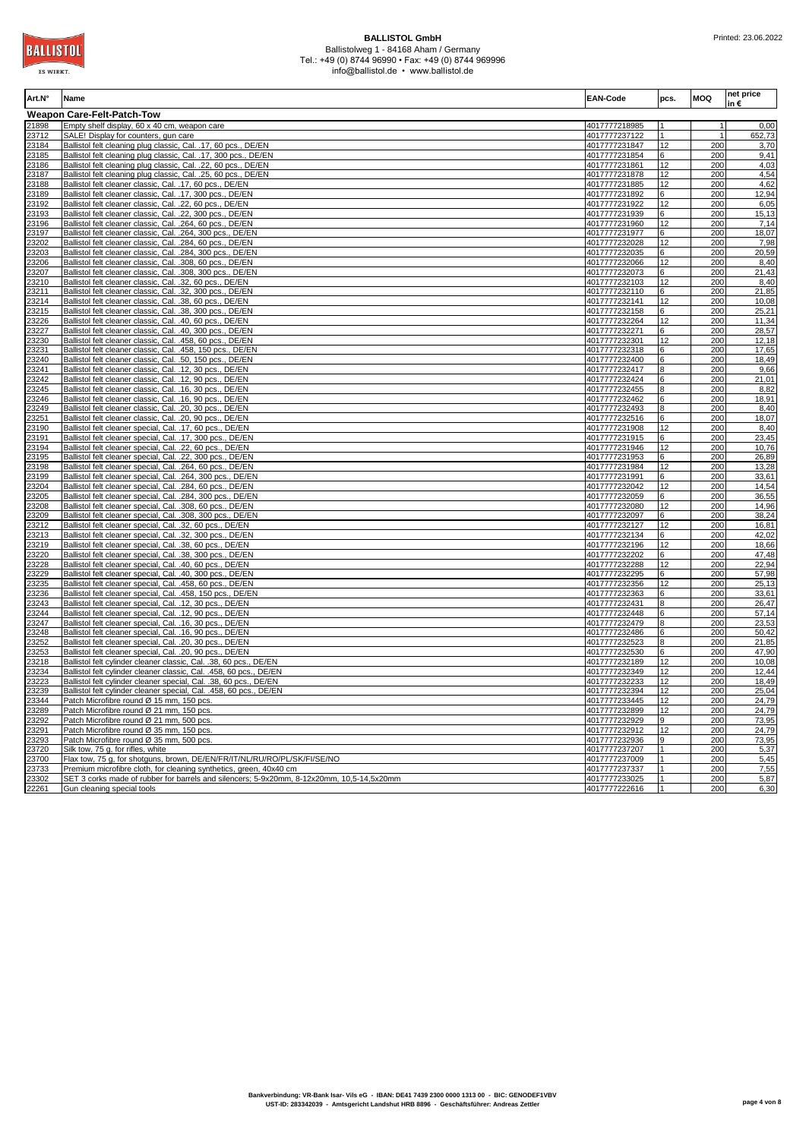

| Art.N°         | Name                                                                                                                                    | <b>EAN-Code</b>                | pcs.         | <b>MOQ</b>     | net price<br>in€ |
|----------------|-----------------------------------------------------------------------------------------------------------------------------------------|--------------------------------|--------------|----------------|------------------|
|                | <b>Weapon Care-Felt-Patch-Tow</b>                                                                                                       |                                |              |                |                  |
| 21898          | Empty shelf display, 60 x 40 cm, weapon care                                                                                            | 4017777218985                  |              | $\overline{1}$ | 0,00             |
| 23712          | SALE! Display for counters, gun care                                                                                                    | 4017777237122                  |              | $\mathbf{1}$   | 652,73           |
| 23184          | Ballistol felt cleaning plug classic, Cal. .17, 60 pcs., DE/EN                                                                          | 4017777231847                  | 12           | 200            | 3,70             |
| 23185          | Ballistol felt cleaning plug classic, Cal. .17, 300 pcs., DE/EN                                                                         | 4017777231854                  | 6            | 200            | 9,41             |
| 23186          | Ballistol felt cleaning plug classic, Cal. .22, 60 pcs., DE/EN                                                                          | 4017777231861                  | 12           | 200            | 4,03             |
| 23187          | Ballistol felt cleaning plug classic, Cal. .25, 60 pcs., DE/EN                                                                          | 4017777231878                  | 12           | 200            | 4,54             |
| 23188          | Ballistol felt cleaner classic, Cal. .17, 60 pcs., DE/EN                                                                                | 4017777231885                  | 12           | 200            | 4,62             |
| 23189          | Ballistol felt cleaner classic, Cal. .17, 300 pcs., DE/EN                                                                               | 4017777231892                  | 6            | 200            | 12,94            |
| 23192          | Ballistol felt cleaner classic, Cal. .22, 60 pcs., DE/EN                                                                                | 4017777231922                  | 12           | 200            | 6,05             |
| 23193          | Ballistol felt cleaner classic, Cal. .22, 300 pcs., DE/EN                                                                               | 4017777231939                  | 6            | 200            | 15,13            |
| 23196          | Ballistol felt cleaner classic, Cal. . 264, 60 pcs., DE/EN                                                                              | 4017777231960                  | 12           | 200            | 7,14             |
| 23197          | Ballistol felt cleaner classic, Cal. .264, 300 pcs., DE/EN                                                                              | 4017777231977                  | 6            | 200            | 18,07            |
| 23202          | Ballistol felt cleaner classic, Cal. .284, 60 pcs., DE/EN                                                                               | 4017777232028                  | 12           | 200            | 7,98             |
| 23203          | Ballistol felt cleaner classic, Cal. .284, 300 pcs., DE/EN                                                                              | 4017777232035                  | 6            | 200            | 20,59            |
| 23206          | Ballistol felt cleaner classic, Cal. .308, 60 pcs., DE/EN                                                                               | 4017777232066                  | 12           | 200            | 8,40<br>21,43    |
| 23207          | Ballistol felt cleaner classic, Cal. .308, 300 pcs., DE/EN                                                                              | 4017777232073                  | 6            | 200            |                  |
| 23210          | Ballistol felt cleaner classic, Cal. .32, 60 pcs., DE/EN<br>Ballistol felt cleaner classic, Cal. .32, 300 pcs., DE/EN                   | 4017777232103<br>4017777232110 | 12<br>6      | 200<br>200     | 8,40<br>21,85    |
| 23211<br>23214 | Ballistol felt cleaner classic, Cal. .38, 60 pcs., DE/EN                                                                                | 4017777232141                  | 12           | 200            | 10,08            |
| 23215          | Ballistol felt cleaner classic, Cal. .38, 300 pcs., DE/EN                                                                               | 4017777232158                  | 6            | 200            | 25,21            |
| 23226          | Ballistol felt cleaner classic, Cal. .40, 60 pcs., DE/EN                                                                                | 4017777232264                  | 12           | 200            | 11,34            |
| 23227          | Ballistol felt cleaner classic, Cal. .40, 300 pcs., DE/EN                                                                               | 4017777232271                  | 6            | 200            | 28,57            |
| 23230          | Ballistol felt cleaner classic, Cal. .458, 60 pcs., DE/EN                                                                               | 4017777232301                  | 12           | 200            | 12,18            |
| 23231          | Ballistol felt cleaner classic, Cal. .458, 150 pcs., DE/EN                                                                              | 4017777232318                  | 6            | 200            | 17,65            |
| 23240          | Ballistol felt cleaner classic, Cal. .50, 150 pcs., DE/EN                                                                               | 4017777232400                  | 6            | 200            | 18,49            |
| 23241          | Ballistol felt cleaner classic, Cal. .12, 30 pcs., DE/EN                                                                                | 4017777232417                  | $\mathsf{R}$ | 200            | 9,66             |
| 23242          | Ballistol felt cleaner classic, Cal. .12, 90 pcs., DE/EN                                                                                | 4017777232424                  | 6            | 200            | 21,01            |
| 23245          | Ballistol felt cleaner classic, Cal. . 16, 30 pcs., DE/EN                                                                               | 4017777232455                  | 8            | 200            | 8,82             |
| 23246          | Ballistol felt cleaner classic, Cal. . 16, 90 pcs., DE/EN                                                                               | 4017777232462                  | 6            | 200            | 18,91            |
| 23249          | Ballistol felt cleaner classic, Cal. .20, 30 pcs., DE/EN                                                                                | 4017777232493                  | 8            | 200            | 8,40             |
| 23251          | Ballistol felt cleaner classic, Cal. .20, 90 pcs., DE/EN                                                                                | 4017777232516                  | 6            | 200            | 18,07            |
| 23190          | Ballistol felt cleaner special, Cal. .17, 60 pcs., DE/EN                                                                                | 4017777231908                  | 12           | 200            | 8,40             |
| 23191          | Ballistol felt cleaner special, Cal. .17, 300 pcs., DE/EN                                                                               | 4017777231915                  | 6            | 200            | 23,45            |
| 23194          | Ballistol felt cleaner special, Cal. .22, 60 pcs., DE/EN                                                                                | 4017777231946                  | 12           | 200            | 10,76            |
| 23195          | Ballistol felt cleaner special, Cal. .22, 300 pcs., DE/EN                                                                               | 4017777231953                  | 6            | 200            | 26,89            |
| 23198          | Ballistol felt cleaner special, Cal. .264, 60 pcs., DE/EN                                                                               | 4017777231984                  | 12           | 200            | 13,28            |
| 23199          | Ballistol felt cleaner special, Cal. .264, 300 pcs., DE/EN                                                                              | 4017777231991                  | 6            | 200            | 33.61            |
| 23204          | Ballistol felt cleaner special, Cal. . 284, 60 pcs., DE/EN                                                                              | 4017777232042                  | 12           | 200            | 14,54            |
| 23205          | Ballistol felt cleaner special, Cal. .284, 300 pcs., DE/EN                                                                              | 4017777232059                  | 6            | 200            | 36,55            |
| 23208          | Ballistol felt cleaner special, Cal. .308, 60 pcs., DE/EN                                                                               | 4017777232080                  | 12           | 200            | 14,96            |
| 23209          | Ballistol felt cleaner special, Cal. .308, 300 pcs., DE/EN                                                                              | 4017777232097                  | 6            | 200            | 38,24            |
| 23212          | Ballistol felt cleaner special, Cal. .32, 60 pcs., DE/EN                                                                                | 4017777232127                  | 12           | 200            | 16,81            |
| 23213          | Ballistol felt cleaner special, Cal. .32, 300 pcs., DE/EN                                                                               | 4017777232134                  | 6            | 200            | 42,02            |
| 23219          | Ballistol felt cleaner special, Cal. .38, 60 pcs., DE/EN                                                                                | 4017777232196                  | 12           | 200            | 18,66            |
| 23220          | Ballistol felt cleaner special, Cal. .38, 300 pcs., DE/EN                                                                               | 4017777232202                  | 6            | 200            | 47,48            |
| 23228          | Ballistol felt cleaner special, Cal. .40, 60 pcs., DE/EN                                                                                | 4017777232288                  | 12           | 200            | 22,94            |
| 23229          | Ballistol felt cleaner special, Cal. .40, 300 pcs., DE/EN                                                                               | 4017777232295                  | 6            | 200            | 57,98            |
| 23235          | Ballistol felt cleaner special, Cal. .458, 60 pcs., DE/EN                                                                               | 4017777232356                  | 12           | 200            | 25,13            |
| 23236          | Ballistol felt cleaner special, Cal. .458, 150 pcs., DE/EN                                                                              | 4017777232363                  | 6            | 200            | 33,61            |
| 23243          | Ballistol felt cleaner special, Cal. .12, 30 pcs., DE/EN                                                                                | 4017777232431                  | $\mathsf{R}$ | 200            | 26,47            |
| 23244          | Ballistol felt cleaner special, Cal. .12, 90 pcs., DE/EN                                                                                | 4017777232448                  | 6            | 200            | 57,14            |
| 23247          | Ballistol felt cleaner special, Cal. . 16, 30 pcs., DE/EN                                                                               | 4017777232479                  | $\mathsf{R}$ | 200            | 23,53            |
| 23248          | Ballistol felt cleaner special, Cal. .16, 90 pcs., DE/EN                                                                                | 4017777232486                  | 6            | 200            | 50,42            |
| 23252          | Ballistol felt cleaner special, Cal. .20, 30 pcs., DE/EN                                                                                | 4017777232523                  | 8            | 200            | 21,85            |
| 23253          | Ballistol felt cleaner special, Cal. .20, 90 pcs., DE/EN                                                                                | 4017777232530                  | 6<br>12      | 200<br>200     | 47.90            |
| 23218          | Ballistol felt cylinder cleaner classic, Cal. .38, 60 pcs., DE/EN                                                                       | 4017777232189                  | 12           | 200            | 10,08<br>12,44   |
| 23234<br>23223 | Ballistol felt cylinder cleaner classic, Cal. .458, 60 pcs., DE/EN<br>Ballistol felt cylinder cleaner special, Cal. .38, 60 pcs., DE/EN | 4017777232349<br>4017777232233 | 12           | 200            | 18,49            |
| 23239          | Ballistol felt cylinder cleaner special, Cal. .458, 60 pcs., DE/EN                                                                      | 4017777232394                  | 12           | 200            | 25,04            |
| 23344          | Patch Microfibre round Ø 15 mm, 150 pcs.                                                                                                | 4017777233445                  | 12           | 200            | 24,79            |
| 23289          | Patch Microfibre round Ø 21 mm, 150 pcs.                                                                                                | 4017777232899                  | 12           | 200            | 24,79            |
| 23292          | Patch Microfibre round Ø 21 mm, 500 pcs.                                                                                                | 4017777232929                  | g            | 200            | 73,95            |
| 23291          | Patch Microfibre round Ø 35 mm, 150 pcs.                                                                                                | 4017777232912                  | 12           | 200            | 24,79            |
| 23293          | Patch Microfibre round Ø 35 mm, 500 pcs.                                                                                                | 4017777232936                  | $\mathbf{Q}$ | 200            | 73,95            |
| 23720          | Silk tow, 75 g, for rifles, white                                                                                                       | 4017777237207                  |              | 200            | 5,37             |
| 23700          | Flax tow, 75 g, for shotguns, brown, DE/EN/FR/IT/NL/RU/RO/PL/SK/FI/SE/NO                                                                | 4017777237009                  |              | 200            | 5,45             |
| 23733          | Premium microfibre cloth, for cleaning synthetics, green, 40x40 cm                                                                      | 4017777237337                  |              | 200            | 7,55             |
| 23302          | SET 3 corks made of rubber for barrels and silencers; 5-9x20mm, 8-12x20mm, 10,5-14,5x20mm                                               | 4017777233025                  |              | 200            | 5,87             |
| 22261          | Gun cleaning special tools                                                                                                              | 4017777222616                  |              | 200            | 6,30             |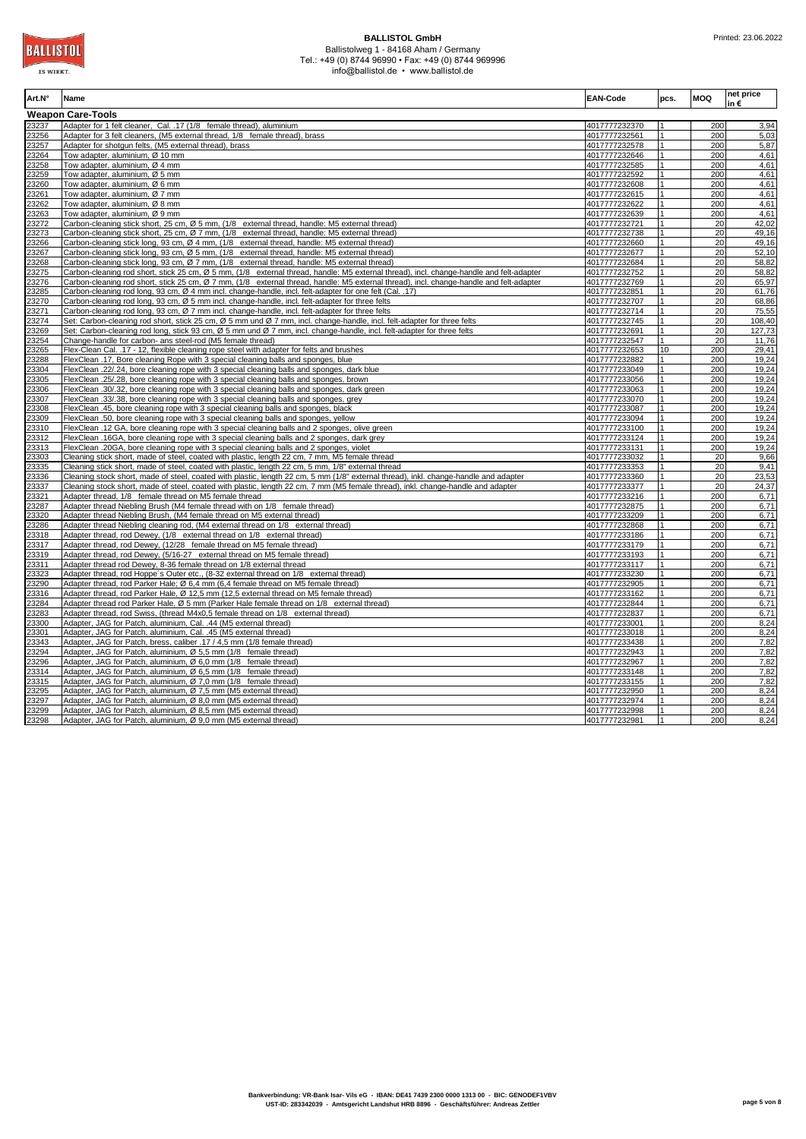**Art.N° Name EAN-Code pcs. MOQ net price in € Weapon Care-Tools** 23237 Adapter for 1 felt cleaner, Cal. .17 (1/8 female thread), aluminium **1990 1200 1200 1200 1200 1200 1200 1200** 3,94 23256 Adapter for 3 felt cleaners, (M5 external thread, 1/8 female thread), brass 4017777232561 1 200 5,03 23257 Adapter for shotgun felts, (M5 external thread), brass 4017777232578 1 200 5,87 200 Tow adapter, aluminium, Ø 10 mm 4017777232646 1 200 120 mm 40177777232646 1 200 4,612 mm 40177777232646 1 200 4,612 mm 4017777232646 1 200 4,612 mm 4017777232646 1 200 4,612 mm 401777232646 1 200 4,612 mm 4017 mm 4017 23258 Tow adapter, aluminium, Ø 4 mm 4017777232585 1 200 4,61 23259 Tow adapter, aluminium, Ø 5 mm 4017777232592 1 200 4,61 2260 Tow adapter, aluminium, Ø 6 mm 23261 Tow adapter, aluminium, Ø 7 mm 4017777232615 1 200 4,61 2262 Tow adapter, aluminium, Ø 8 mm 1992 123263 Tow adapter, aluminium, Ø 9 mm<br>23272 Carbon-cleaning stick short, 25 cm, Ø 5 mm, (1/8 external thread, handle: M5 external thread) 1992 1200 401777232721 1 200 42,02 23272 Carbon-cleaning stick short, 25 cm, Ø 5 mm, (1/8 external thread, handle: M5 external thread) 4017777232721 1 20 42,02 23273 Carbon-cleaning stick short, 25 cm, Ø 7 mm, (1/8 external thread, handle: M5 external thread) 4017777232738 1 20 49,16<br>23266 Carbon-cleaning stick long, 93 cm, Ø 4 mm, (1/8 external thread, handle: M5 external thread <u>23266 Carbon-cleaning stick long, 93 cm, Ø 4 mm, (1/8 external thread, handle: M5 external thread) 4017777232660 1 20 49,17777232660 1 20 49,17777232660 1 20 49,17777232660 1 20 49,167 4017777232660 1 20 49,167 400 49,16</u> 23267 Carbon-cleaning stick long, 93 cm, Ø 5 mm, (1/8 external thread, handle: M5 external thread) 4017777232677 1 20 52,10 23268 Carbon-cleaning stick long, 93 cm, Ø 7 mm, (1/8 external thread, handle: M5 external thread)<br>23275 Carbon-cleaning rod short, stick 25 cm, Ø 5 mm, (1/8 external thread, handle: M5 external thread), incl. change-han arbon-cleaning rod short, stick 25 cm, Ø 5 mm, (1/8 external thread, handle: M5 external thread), incl. change-handle and felt-adapter 23276 Carbon-cleaning rod short, stick 25 cm, Ø 7 mm, (1/8 external thread, handle: M5 external thread), incl. change-handle and felt-adapter 14017777232769 1 20 65,97<br>23285 Carbon-cleaning rod long, 93 cm, Ø 4 mm incl. c 23385 Carbon-cleaning rod long, 93 cm, Ø 4 mm incl. change-handle, incl. felt-adapter for one felt (Cal. 23270 Carbon-cleaning rod long, 93 cm, Ø 5 mm incl. change-handle, incl. felt-adapter for three felts 4017777232707 1 20 68,86<br>23271 Carbon-cleaning rod long, 93 cm, Ø 7 mm incl. change-handle, incl. felt-adapter for three 23271 Carbon-cleaning rod long, 93 cm, Ø 7 mm incl. change-handle, incl. felt-adapter for three felts 4017777232714 1 20 75,55<br>23274 Set: Carbon-cleaning rod short, stick 25 cm, Ø 5 mm und Ø 7 mm, incl. change-handle, incl arbon-cleaning rod short, stick 25 cm, Ø 5 mm und Ø 7 mm, incl. change-handle, incl. felt-adapter for three felts 23269 Set: Carbon-cleaning rod long, stick 93 cm, Ø 5 mm und Ø 7 mm, incl. change-handle, incl. felt-adapter for three felts 4017777232691 1 4017777232691 1 20 127,73<br>23254 Change-handle for carbon- ans steel-rod (M5 femal 2hange-handle for carbon- ans steel-rod (M5 female thread) 23265 Flex-Clean Cal. .17 - 12, flexible cleaning rope steel with adapter for felts and brushes 4017777232653 10 200 29,41<br>23288 FlexClean .17, Bore cleaning Rope with 3 special cleaning balls and sponges, blue the state o FlexClean .17, Bore cleaning Rope with 3 special cleaning balls and sponges, blue 40177777232882 1 200 19, 200 19, 200 19, 200 19, 200 19, 200 19, 200 19, 200 19, 200 19, 200 19, 200 19, 200 19, 200 19, 200 19, 200 19, 200 23304 FlexClean .22/.24, bore cleaning rope with 3 special cleaning balls and sponges, dark blue 4017777233049 1 200 19,24 23305 FlexClean .25/.28, bore cleaning rope with 3 special cleaning balls and sponges, brown 4017777233056 1 200 19,24<br>23306 FlexClean .30/.32, bore cleaning rope with 3 special cleaning balls and sponges, drak green 40177 2020 FlexClean .30/.32, bore cleaning rope with 3 special cleaning balls and sponges, dark green 4017777233063 1 4 200 19,24<br>FlexClean .33/.38, bore cleaning rope with 3 special cleaning balls and sponges, grey 40177712330 23307 FlexClean .33/.38, bore cleaning rope with 3 special cleaning balls and sponges, grey 4017777233070 14, 200 23 Flean .45, bore cleaning rope with 3 special cleaning balls and sponges, black 4017771233087 4 200 19,24<br>2017 - 200 19,24 Alexaning rope with 3 special cleaning balls and sponges, vellow 23309 FlexClean .50, bore cleaning rope with 3 special cleaning balls and sponges, vellow 4017777233094 1 200 19,24  $\frac{3310}{2312}$  FlexClean .12 GA, bore cleaning rope with 3 special cleaning balls and 2 sponges, olive green  $\frac{4017777233100}{4017777233124}$  | 200 19,24 ElexClean .16GA, bore cleaning rope with 3 special cleaning balls and 2 sponges, dark grey 401777233124 1 4 200 19,24 1 200 19,24<br>23313 FlexClean .20GA, bore cleaning rope with 3 special cleaning balls and 2 sponges, viole FlexClean .20GA, bore cleaning rope with 3 special cleaning balls and 2 sponges, viole 23303 Cleaning stick short, made of steel, coated with plastic, length 22 cm, 7 mm, M5 female thread<br>23335 Cleaning stick short, made of steel, coated with plastic, length 22 cm, 5 mm, 1/8" external thread 23336 Cleaning stock short, made of steel, coated with plastic, length 22 cm, 5 mm (1/8" external thread), inkl. change-handle and adapter 4017777233360 1 20 23,53<br>23337 Cleaning stock short, made of steel, coated with pla 23337 Cleaning stock short, made of steel, coated with plastic, length 22 cm, 7 mm (M5 female thread), inkl. change-handle and adapter 4017777233377 1 20 24,37<br>23321 Adapter thread, 1/8 female thread on M5 female thread 23321 Adapter thread, 1/8 female thread on M5 female thread 23287 Adapter thread Niebling Brush (M4 female thread with on 1/8 female thread) 4017777232875 1 200 6,71<br>23320 Adapter thread Niebling Brush, (M4 female thread on M5 external thread) 4017777233209 1 200 6,71 233<br>3333 Adapter thread Niebling Brush, (M4 female thread on M5 external thread) 23286 Adapter thread Niebling cleaning rod, (M4 external thread on 1/8 external thread) 4017777232868 1 200 6,71 23318 Adapter thread, rod Dewey, (1/8 external thread on 1/8 external thread) 4017777233186 1 200 6,71 2317 Adapter thread, rod Dewey, (12/28 female thread on M5 female thread) 4017777233179 1 4017777233179 1 200 6,71<br>3319 Adapter thread, rod Dewey, (5/16-27 external thread on M5 female thread) 4017777233193 1 4 200 6,71  $\frac{23319}{\text{Adapter thread, rod Dewey, (5/16-27) external thread on MS female thread}}$   $\frac{23319}{\text{Argument thread}}$   $\frac{4017777233193}{\text{Argument thread}}$   $\frac{1}{\text{Argument thread}}$   $\frac{200}{\text{6.71}}$   $\frac{200}{\text{6.71}}$ Adapter thread rod Dewey, 8-36 female thread on 1/8 external thread 23323 Adapter thread, rod Hoppe´s Outer etc., (8-32 external thread on 1/8 external thread) 4017777233230 1 200 6,71 Adapter thread, rod Parker Hale; Ø 6,4 mm (6,4 female thread on M5 female thread) 23316 Adapter thread, rod Parker Hale, Ø 12,5 mm (12,5 external thread on M5 female thread) 4017777233162 1 4017777233162 1 200 6,71<br>23284 Adapter thread rod Parker Hale, Ø 5 mm (Parker Hale female thread on 1/8 external t 23284 Adapter thread rod Parker Hale, Ø 5 mm (Parker Hale female thread on 1/8 external thread) 4017777232844 1 200 6,71<br>23283 Adapter thread rod Swiss (thread M4x0 5 female thread on 1/8 external thread) 4017777232844 1 2 Adapter thread, rod Swiss, (thread M4x0.5 female thread on 1/8 external thread) 23300 Adapter, JAG for Patch, aluminium, Cal. .44 (M5 external thread) 4017777233001 1 200 8,24 23301 Adapter, JAG for Patch, aluminium, Cal. .45 (M5 external thread) 4017777233018 1 200 8,24 23343 Adapter, JAG for Patch, bress, caliber .17 / 4,5 mm (1/8 female thread) 4017777233438 1 200 7,82 23294 Adapter, JAG for Patch, aluminium, Ø 5,5 mm (1/8 female thread) 4017777232943 1 200 7,82 23296 Adapter, JAG for Patch, aluminium, Ø 6,0 mm (1/8 female thread) 4017777232967 1 200 7,82 Adapter, JAG for Patch, aluminium, Ø 6,5 mm (1/8 female thread) 23315 Adapter, JAG for Patch, aluminium, Ø 7,0 mm (1/8 female thread) 4017777233155 1 200 7,82 23295 Adapter, JAG for Patch, aluminium, Ø 7,5 mm (M5 external thread) 4017777232950 1 200 8,23295 4017777232950 1 200 8,254 1 200 8,254 1 200 8,254 1 200 8,254 1 200 8,254 1 200 8,254 1 200 8,244 1 200 8,244 1 200 8,244 1 23297 Adapter, JAG for Patch, aluminium, Ø 8,0 mm (M5 external thread) 4017777232974 1 200 8,24 2299 Adapter, JAG for Patch, aluminium, Ø 8,5 mm (M5 external thread) 4017777232998 11 200 8,24 Adapter. JAG for Patch, aluminium, Ø 8,5 mm (M5 external thread) 4017777232998 14 200 8,24<br>3298 Adapter. JAG for Patch. alumin Adapter, JAG for Patch, aluminium, Ø 9,0 mm (M5 external thread)

**BALLISTO** ES WIDET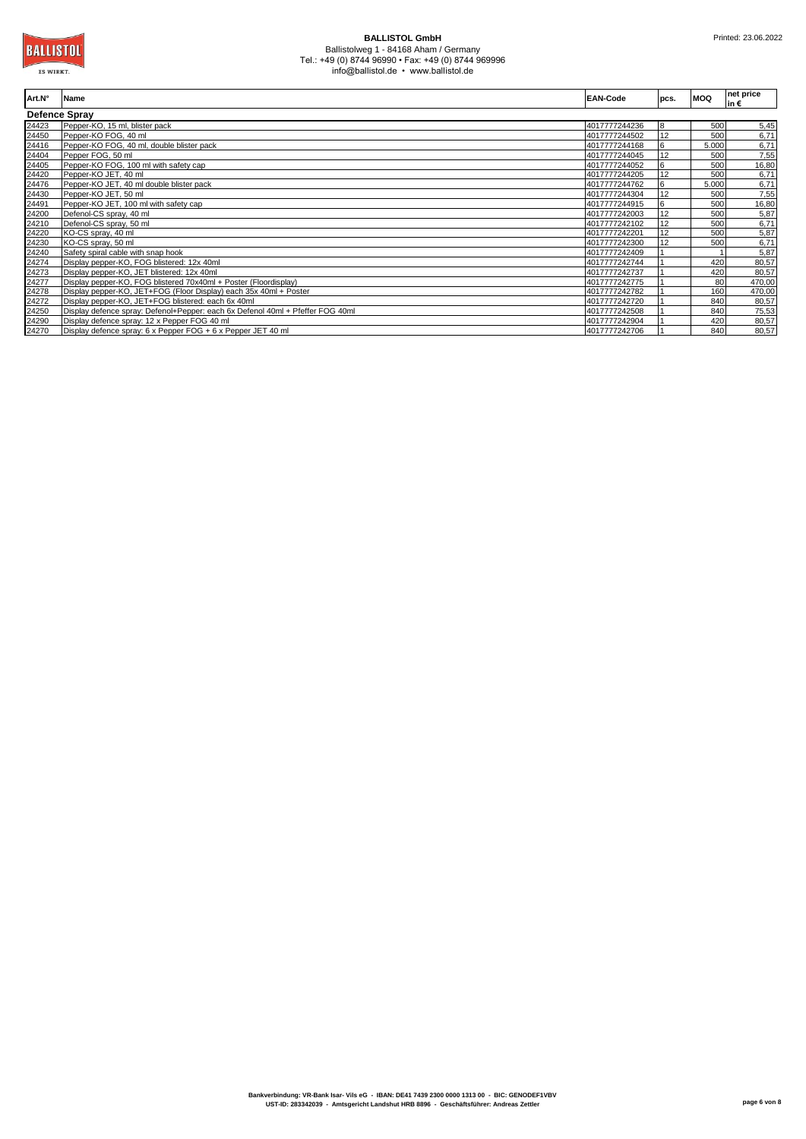| Art.N°               | <b>Name</b>                                                                    | <b>EAN-Code</b> | pcs. | <b>MOQ</b> | net price<br>lin € |
|----------------------|--------------------------------------------------------------------------------|-----------------|------|------------|--------------------|
| <b>Defence Spray</b> |                                                                                |                 |      |            |                    |
| 24423                | Pepper-KO, 15 ml, blister pack                                                 | 4017777244236   | 8    | 500        | 5,45               |
| 24450                | Pepper-KO FOG, 40 ml                                                           | 4017777244502   | 12   | 500        | 6,71               |
| 24416                | Pepper-KO FOG, 40 ml, double blister pack                                      | 4017777244168   | 6    | 5.000      | 6,71               |
| 24404                | Pepper FOG, 50 ml                                                              | 4017777244045   | 12   | 500        | 7,55               |
| 24405                | Pepper-KO FOG, 100 ml with safety cap                                          | 4017777244052   | 6    | 500        | 16,80              |
| 24420                | Pepper-KO JET, 40 ml                                                           | 4017777244205   | 12   | 500        | 6,71               |
| 24476                | Pepper-KO JET, 40 ml double blister pack                                       | 4017777244762   | 6    | 5.000      | 6,71               |
| 24430                | Pepper-KO JET, 50 ml                                                           | 4017777244304   | 12   | 500        | 7,55               |
| 24491                | Pepper-KO JET, 100 ml with safety cap                                          | 4017777244915   | 6    | 500        | 16,80              |
| 24200                | Defenol-CS spray, 40 ml                                                        | 4017777242003   | 12   | 500        | 5,87               |
| 24210                | Defenol-CS spray, 50 ml                                                        | 4017777242102   | 12   | 500        | 6,71               |
| 24220                | KO-CS spray, 40 ml                                                             | 4017777242201   | 12   | 500        | 5,87               |
| 24230                | KO-CS spray, 50 ml                                                             | 4017777242300   | 12   | 500        | 6,71               |
| 24240                | Safety spiral cable with snap hook                                             | 4017777242409   |      |            | 5,87               |
| 24274                | Display pepper-KO, FOG blistered: 12x 40ml                                     | 4017777242744   |      | 420        | 80,57              |
| 24273                | Display pepper-KO, JET blistered: 12x 40ml                                     | 4017777242737   |      | 420        | 80,57              |
| 24277                | Display pepper-KO, FOG blistered 70x40ml + Poster (Floordisplay)               | 4017777242775   |      | 80         | 470,00             |
| 24278                | Display pepper-KO, JET+FOG (Floor Display) each 35x 40ml + Poster              | 4017777242782   |      | 160        | 470,00             |
| 24272                | Display pepper-KO, JET+FOG blistered: each 6x 40ml                             | 4017777242720   |      | 840        | 80,57              |
| 24250                | Display defence spray: Defenol+Pepper: each 6x Defenol 40ml + Pfeffer FOG 40ml | 4017777242508   |      | 840        | 75,53              |
| 24290                | Display defence spray: 12 x Pepper FOG 40 ml                                   | 4017777242904   |      | 420        | 80,57              |
| 24270                | Display defence spray: 6 x Pepper FOG + 6 x Pepper JET 40 ml                   | 4017777242706   |      | 840        | 80,57              |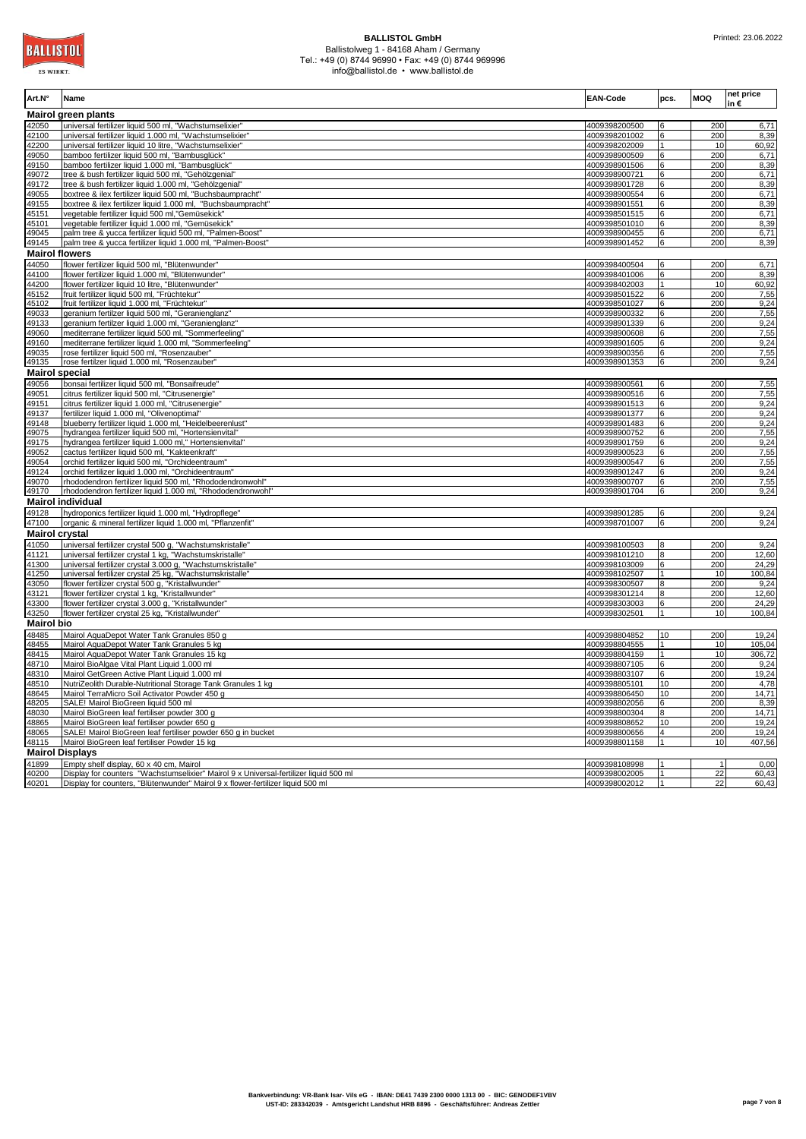| Art.N°                | Name                                                                                                                                                                     | <b>EAN-Code</b>                | pcs.               | MOQ                   | net price<br>in€ |
|-----------------------|--------------------------------------------------------------------------------------------------------------------------------------------------------------------------|--------------------------------|--------------------|-----------------------|------------------|
|                       | <b>Mairol green plants</b>                                                                                                                                               |                                |                    |                       |                  |
| 42050<br>42100        | universal fertilizer liquid 500 ml, "Wachstumselixier"<br>universal fertilizer liquid 1.000 ml, "Wachstumselixier"                                                       | 4009398200500<br>4009398201002 | 6                  | 200<br>200            | 6,71<br>8,39     |
| 42200                 | universal fertilizer liquid 10 litre, "Wachstumselixier"                                                                                                                 | 4009398202009                  | 1                  | 10                    | 60,92            |
| 49050                 | bamboo fertilizer liquid 500 ml, "Bambusglück"                                                                                                                           | 4009398900509                  | 6                  | 200                   | 6,71             |
| 49150                 | bamboo fertilizer liquid 1.000 ml, "Bambusglück'                                                                                                                         | 4009398901506                  | 6                  | 200                   | 8,39             |
| 49072                 | tree & bush fertilizer liquid 500 ml, "Gehölzgenial"                                                                                                                     | 4009398900721                  | 6                  | 200                   | 6,71             |
| 49172                 | tree & bush fertilizer liquid 1.000 ml, "Gehölzgenial"                                                                                                                   | 4009398901728                  | 6                  | 200                   | 8,39             |
| 49055<br>49155        | boxtree & ilex fertilizer liquid 500 ml, "Buchsbaumpracht"<br>boxtree & ilex fertilizer liquid 1.000 ml, "Buchsbaumpracht'                                               | 4009398900554<br>4009398901551 | 6                  | 200<br>200            | 6,71<br>8,39     |
| 45151                 | vegetable fertilizer liquid 500 ml,"Gemüsekick"                                                                                                                          | 4009398501515                  | 6                  | 200                   | 6,71             |
| 45101                 | vegetable fertilizer liquid 1.000 ml, "Gemüsekick'                                                                                                                       | 4009398501010                  | 6                  | 200                   | 8,39             |
| 49045                 | palm tree & yucca fertilizer liquid 500 ml, "Palmen-Boost"                                                                                                               | 4009398900455                  | 6                  | 200                   | 6,71             |
| 49145                 | palm tree & yucca fertilizer liquid 1.000 ml, "Palmen-Boost"                                                                                                             | 4009398901452                  | 6                  | 200                   | 8,39             |
| <b>Mairol flowers</b> |                                                                                                                                                                          |                                |                    |                       |                  |
| 44050                 | flower fertilizer liquid 500 ml, "Blütenwunder"                                                                                                                          | 4009398400504                  | 6                  | 200                   | 6,71             |
| 44100<br>44200        | flower fertilizer liquid 1.000 ml, "Blütenwunder'                                                                                                                        | 4009398401006<br>4009398402003 | 6                  | 200<br>10             | 8,39             |
| 45152                 | flower fertilizer liquid 10 litre, "Blütenwunder"<br>fruit fertilizer liquid 500 ml, "Früchtekur"                                                                        | 4009398501522                  | 1<br>6             | 200                   | 60,92<br>7,55    |
| 45102                 | fruit fertilizer liquid 1.000 ml, "Früchtekur"                                                                                                                           | 4009398501027                  | 6                  | 200                   | 9,24             |
| 49033                 | geranium fertilzer liquid 500 ml, "Geranienglanz"                                                                                                                        | 4009398900332                  | ĥ                  | 200                   | 7,55             |
| 49133                 | geranium fertilzer liquid 1.000 ml, "Geranienglanz"                                                                                                                      | 4009398901339                  | R                  | 200                   | 9,24             |
| 49060                 | mediterrane fertilizer liquid 500 ml, "Sommerfeeling'                                                                                                                    | 4009398900608                  | 6                  | 200                   | 7,55             |
| 49160                 | mediterrane fertilizer liquid 1.000 ml, "Sommerfeeling"                                                                                                                  | 4009398901605                  | 6                  | 200                   | 9,24             |
| 49035<br>49135        | rose fertilizer liquid 500 ml, "Rosenzauber"<br>rose fertilzer liquid 1.000 ml, "Rosenzauber'                                                                            | 4009398900356<br>4009398901353 | 6<br>6             | 200<br>200            | 7,55<br>9,24     |
| <b>Mairol special</b> |                                                                                                                                                                          |                                |                    |                       |                  |
| 49056                 | bonsai fertilizer liquid 500 ml, "Bonsaifreude'                                                                                                                          | 4009398900561                  |                    | 200                   | 7,55             |
| 49051                 | citrus fertilizer liquid 500 ml, "Citrusenergie"                                                                                                                         | 4009398900516                  |                    | 200                   | 7,55             |
| 49151                 | citrus fertilizer liquid 1.000 ml, "Citrusenergie"                                                                                                                       | 4009398901513                  | 6                  | 200                   | 9,24             |
| 49137                 | fertilizer liquid 1.000 ml, "Olivenoptimal"                                                                                                                              | 4009398901377                  |                    | 200                   | 9,24             |
| 49148                 | blueberry fertilizer liquid 1.000 ml, "Heidelbeerenlust"                                                                                                                 | 4009398901483                  |                    | 200                   | 9,24             |
| 49075                 | hydrangea fertilizer liquid 500 ml, "Hortensienvital"                                                                                                                    | 4009398900752                  | 6                  | 200                   | 7,55             |
| 49175<br>49052        | hydrangea fertilizer liquid 1.000 ml," Hortensienvital"<br>cactus fertilizer liquid 500 ml, "Kakteenkraft"                                                               | 4009398901759<br>4009398900523 | 6<br>6             | 200<br>200            | 9,24<br>7,55     |
| 49054                 | orchid fertilizer liquid 500 ml, "Orchideentraum"                                                                                                                        | 4009398900547                  | 6                  | 200                   | 7,55             |
| 49124                 | orchid fertilizer liquid 1.000 ml, "Orchideentraum"                                                                                                                      | 4009398901247                  | 6                  | 200                   | 9,24             |
| 49070                 | rhododendron fertilizer liquid 500 ml, "Rhododendronwohl"                                                                                                                | 4009398900707                  | 6                  | 200                   | 7,55             |
| 49170                 | rhododendron fertilizer liquid 1.000 ml, "Rhododendronwohl"                                                                                                              | 4009398901704                  | 6                  | 200                   | 9,24             |
|                       | <b>Mairol individual</b>                                                                                                                                                 |                                |                    |                       |                  |
| 49128<br>47100        | hydroponics fertilizer liquid 1.000 ml, "Hydropflege"                                                                                                                    | 4009398901285<br>4009398701007 | 6                  | 200<br>200            | 9,24<br>9,24     |
| <b>Mairol crystal</b> | organic & mineral fertilizer liquid 1.000 ml, "Pflanzenfit"                                                                                                              |                                | 6                  |                       |                  |
| 41050                 | universal fertilizer crystal 500 g, "Wachstumskristalle"                                                                                                                 | 4009398100503                  |                    | 200                   | 9,24             |
| 41121                 | universal fertilizer crystal 1 kg, "Wachstumskristalle"                                                                                                                  | 4009398101210                  | 8                  | 200                   | 12,60            |
| 41300                 | universal fertilizer crystal 3.000 g, "Wachstumskristalle'                                                                                                               | 4009398103009                  | 6                  | 200                   | 24,29            |
| 41250                 | universal fertilizer crystal 25 kg, "Wachstumskristalle"                                                                                                                 | 4009398102507                  | 1                  | 10                    | 100,84           |
| 43050                 | flower fertilizer crystal 500 g, "Kristallwunder"                                                                                                                        | 4009398300507                  | 8                  | 200                   | 9,24             |
| 43121                 | flower fertilizer crystal 1 kg, "Kristallwunder"                                                                                                                         | 4009398301214                  | 8                  | 200                   | 12,60            |
| 43300<br>43250        | flower fertilizer crystal 3.000 q, "Kristallwunder"<br>flower fertilizer crystal 25 kg, "Kristallwunder"                                                                 | 4009398303003<br>4009398302501 | 6<br>1             | 200<br>10             | 24,29<br>100,84  |
| <b>Mairol bio</b>     |                                                                                                                                                                          |                                |                    |                       |                  |
| 48485                 | Mairol AquaDepot Water Tank Granules 850 g                                                                                                                               | 4009398804852                  | 10                 | 200                   | 19,24            |
| 48455                 | Mairol AquaDepot Water Tank Granules 5 kg                                                                                                                                | 4009398804555                  | $\mathbf{1}$       | 10                    | 105,04           |
| 48415                 | Mairol AquaDepot Water Tank Granules 15 kg                                                                                                                               | 4009398804159                  | 1                  | 10                    | 306,72           |
| 48710                 | Mairol BioAlgae Vital Plant Liquid 1.000 ml                                                                                                                              | 4009398807105                  | 6                  | 200                   | 9,24             |
| 48310                 | Mairol GetGreen Active Plant Liquid 1.000 ml                                                                                                                             | 4009398803107                  | R                  | 200                   | 19,24            |
| 48510                 | NutriZeolith Durable-Nutritional Storage Tank Granules 1 kg                                                                                                              | 4009398805101                  | 10                 | 200                   | 4,78             |
| 48645<br>48205        | Mairol TerraMicro Soil Activator Powder 450 g<br>SALE! Mairol BioGreen liquid 500 ml                                                                                     | 4009398806450<br>4009398802056 | 10<br>6            | 200<br>200            | 14,71<br>8,39    |
| 48030                 | Mairol BioGreen leaf fertiliser powder 300 g                                                                                                                             | 4009398800304                  | 8                  | 200                   | 14,71            |
| 48865                 | Mairol BioGreen leaf fertiliser powder 650 g                                                                                                                             | 4009398808652                  | 10                 | 200                   | 19,24            |
| 48065                 | SALE! Mairol BioGreen leaf fertiliser powder 650 g in bucket                                                                                                             | 4009398800656                  | 4                  | 200                   | 19,24            |
| 48115                 | Mairol BioGreen leaf fertiliser Powder 15 kg                                                                                                                             | 4009398801158                  | $\mathbf{1}$       | 10                    | 407,56           |
|                       | <b>Mairol Displays</b>                                                                                                                                                   |                                |                    |                       |                  |
| 41899                 | Empty shelf display, 60 x 40 cm, Mairol                                                                                                                                  | 4009398108998                  |                    |                       | 0,00             |
| 40200                 | Display for counters "Wachstumselixier" Mairol 9 x Universal-fertilizer liquid 500 ml<br>Display for counters, "Blütenwunder" Mairol 9 x flower-fertilizer liquid 500 ml | 4009398002005<br>4009398002012 | $\mathbf{1}$<br>11 | $\overline{22}$<br>22 | 60,43<br>60,43   |
| 40201                 |                                                                                                                                                                          |                                |                    |                       |                  |